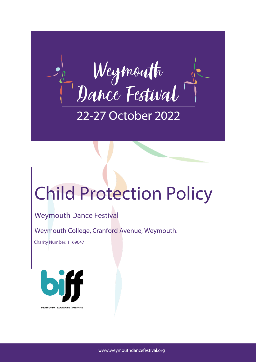

## Child Protection Policy

## Weymouth Dance Festival

Weymouth College, Cranford Avenue, Weymouth.

Charity Number: 1169047

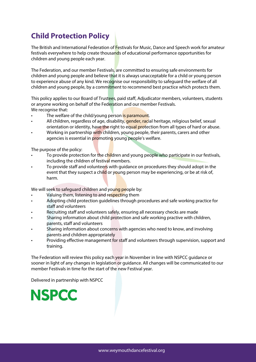## **Child Protection Policy**

The British and International Federation of Festivals for Music, Dance and Speech work for amateur festivals everywhere to help create thousands of educational performance opportunities for children and young people each year.

The Federation, and our member Festivals, are committed to ensuring safe environments for children and young people and believe that it is always unacceptable for a child or young person to experience abuse of any kind. We recognise our responsibility to safeguard the welfare of all children and young people, by a commitment to recommend best practice which protects them.

This policy applies to our Board of Trustees, paid staff, Adjudicator members, volunteers, students or anyone working on behalf of the Federation and our member Festivals. We recognise that:

- The welfare of the child/young person is paramount.
- All children, regardless of age, disability, gender, racial heritage, religious belief, sexual orientation or identity, have the right to equal protection from all types of hard or abuse.
- Working in partnership with children, young people, their parents, carers and other agencies is essential in promoting young people's welfare.

The purpose of the policy:

- To provide protection for the children and young people who participate in our festivals, including the children of festival members.
- To provide staff and volunteers with guidance on procedures they should adopt in the event that they suspect a child or young person may be experiencing, or be at risk of, harm.

We will seek to safeguard children and young people by:

- Valuing them, listening to and respecting them
- Adopting child protection guidelines through procedures and safe working practice for staff and volunteers
- Recruiting staff and volunteers safely, ensuring all necessary checks are made
- Sharing information about child protection and safe working practive with children, parents, staff and volunteers
- Sharing information about concerns with agencies who need to know, and involving parents and children appropriately
- Providing effective management for staff and volunteers through supervision, support and training.

The Federation will review this policy each year in November in line with NSPCC guidance or sooner in light of any changes in legislation or guidance. All changes will be communicated to our member Festivals in time for the start of the new Festival year.

Delivered in partnership with NSPCC

**NSPCC**